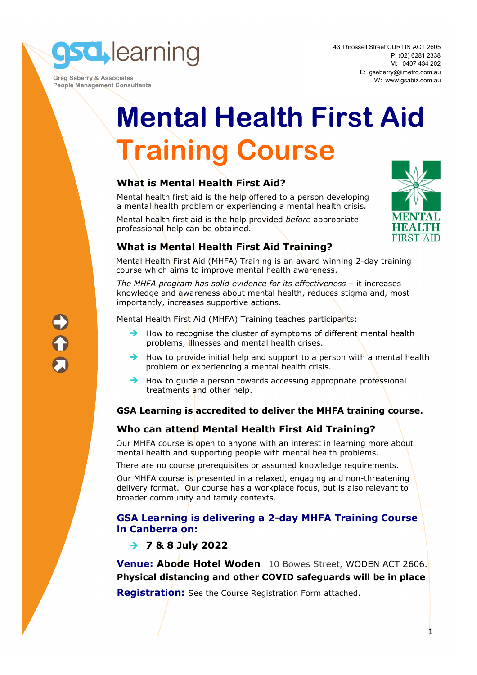**sd** learning

 **Greg Seberry & Associates People Management Consultants**  43 Throssell Street CURTIN ACT 2605 P: (02) 6281 2338 M: 0407 434 202 E: gseberry@iimetro.com.au W: www.gsabiz.com.au

# **Mental Health First Aid Training Course**

## **What is Mental Health First Aid?**

Mental health first aid is the help offered to a person developing a mental health problem or experiencing a mental health crisis.

Mental health first aid is the help provided *before* appropriate professional help can be obtained.



## **What is Mental Health First Aid Training?**

Mental Health First Aid (MHFA) Training is an award winning 2-day training course which aims to improve mental health awareness.

*The MHFA program has solid evidence for its effectiveness* – it increases knowledge and awareness about mental health, reduces stigma and, most importantly, increases supportive actions.

Mental Health First Aid (MHFA) Training teaches participants:

- $\rightarrow$  How to recognise the cluster of symptoms of different mental health problems, illnesses and mental health crises.
- $\rightarrow$  How to provide initial help and support to a person with a mental health problem or experiencing a mental health crisis.
- $\rightarrow$  How to quide a person towards accessing appropriate professional treatments and other help.

## **GSA Learning is accredited to deliver the MHFA training course.**

## **Who can attend Mental Health First Aid Training?**

Our MHFA course is open to anyone with an interest in learning more about mental health and supporting people with mental health problems.

There are no course prerequisites or assumed knowledge requirements.

Our MHFA course is presented in a relaxed, engaging and non-threatening delivery format. Our course has a workplace focus, but is also relevant to broader community and family contexts.

## **GSA Learning is delivering a 2-day MHFA Training Course in Canberra on:**

## **7 & 8 July 2022**

**Venue: Abode Hotel Woden** 10 Bowes Street, WODEN ACT 2606. **Physical distancing and other COVID safeguards will be in place** 

**Registration:** See the Course Registration Form attached.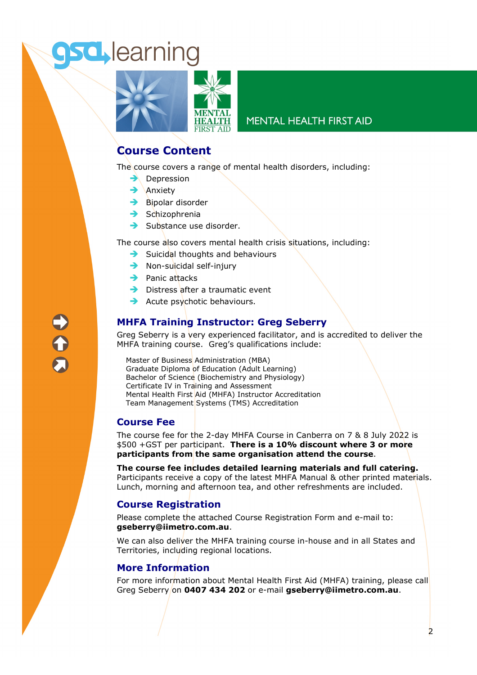## **sd** learning



## **MENTAL HEALTH FIRST AID**

## **Course Content**

The course covers a range of mental health disorders, including:

- $\rightarrow$  Depression
- $\rightarrow$  Anxiety
- $\rightarrow$  Bipolar disorder
- $\rightarrow$  Schizophrenia
- $\rightarrow$  Substance use disorder.

The course also covers mental health crisis situations, including:

- $\rightarrow$  Suicidal thoughts and behaviours
- $\rightarrow$  Non-suicidal self-injury
- $\rightarrow$  Panic attacks
- $\rightarrow$  Distress after a traumatic event
- $\rightarrow$  Acute psychotic behaviours.

## **MHFA Training Instructor: Greg Seberry**

Greg Seberry is a very experienced facilitator, and is accredited to deliver the MHFA training course. Greg's qualifications include:

Master of Business Administration (MBA) Graduate Diploma of Education (Adult Learning) Bachelor of Science (Biochemistry and Physiology) Certificate IV in Training and Assessment Mental Health First Aid (MHFA) Instructor Accreditation Team Management Systems (TMS) Accreditation

## **Course Fee**

The course fee for the 2-day MHFA Course in Canberra on 7 & 8 July 2022 is \$500 +GST per participant. **There is a 10% discount where 3 or more participants from the same organisation attend the course**.

**The course fee includes detailed learning materials and full catering.**  Participants receive a copy of the latest MHFA Manual & other printed materials. Lunch, morning and afternoon tea, and other refreshments are included.

## **Course Registration**

Please complete the attached Course Registration Form and e-mail to: **gseberry@iimetro.com.au**.

We can also deliver the MHFA training course in-house and in all States and Territories, including regional locations.

## **More Information**

For more information about Mental Health First Aid (MHFA) training, please call Greg Seberry on **0407 434 202** or e-mail **gseberry@iimetro.com.au**.